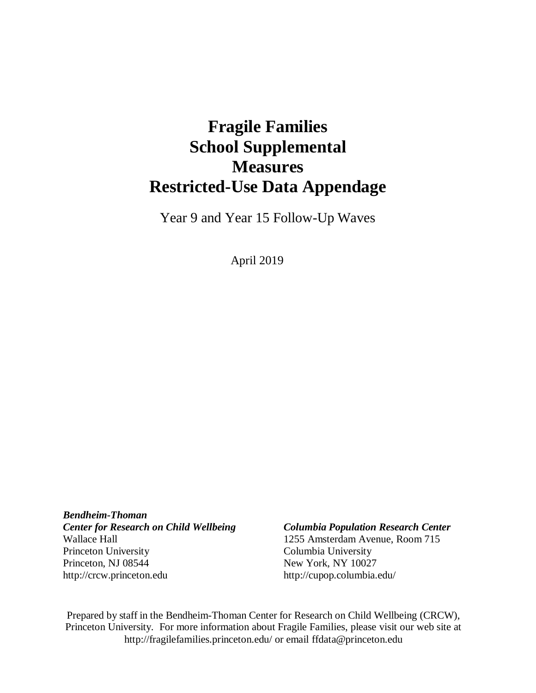# **Fragile Families School Supplemental Measures Restricted-Use Data Appendage**

Year 9 and Year 15 Follow-Up Waves

April 2019

*Bendheim-Thoman Center for Research on Child Wellbeing Columbia Population Research Center* Wallace Hall 1255 Amsterdam Avenue, Room 715 Princeton University Columbia University Princeton, NJ 08544 New York, NY 10027 [http://crcw.princeton.edu](http://crcw.princeton.edu/) [http://cupop.columbia.edu/](http://crcw.princeton.edu/)

Prepared by staff in the Bendheim-Thoman Center for Research on Child Wellbeing (CRCW), Princeton University. For more information about Fragile Families, please visit our web site [at](http://fragilefamilies.princeton.edu/) <http://fragilefamilies.princeton.edu/> or email [ffdata@princeton.edu](mailto:ffdata@princeton.edu)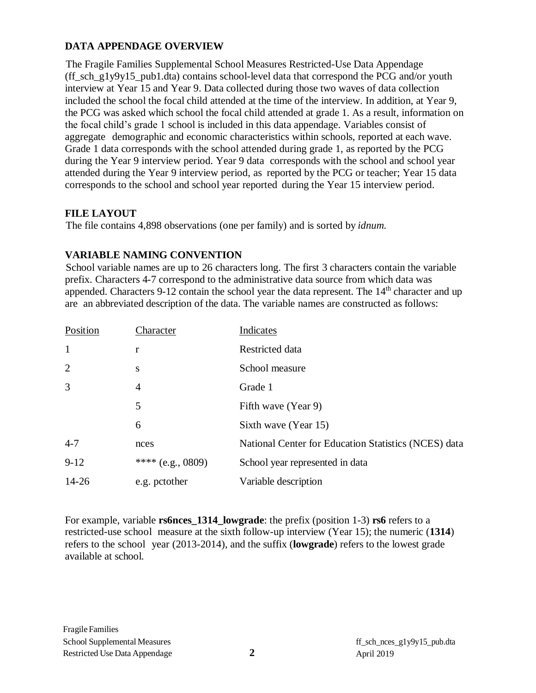## **DATA APPENDAGE OVERVIEW**

The Fragile Families Supplemental School Measures Restricted-Use Data Appendage (ff\_sch\_g1y9y15\_pub1.dta) contains school-level data that correspond the PCG and/or youth interview at Year 15 and Year 9. Data collected during those two waves of data collection included the school the focal child attended at the time of the interview. In addition, at Year 9, the PCG was asked which school the focal child attended at grade 1. As a result, information on the focal child's grade 1 school is included in this data appendage. Variables consist of aggregate demographic and economic characteristics within schools, reported at each wave. Grade 1 data corresponds with the school attended during grade 1, as reported by the PCG during the Year 9 interview period. Year 9 data corresponds with the school and school year attended during the Year 9 interview period, as reported by the PCG or teacher; Year 15 data corresponds to the school and school year reported during the Year 15 interview period.

## **FILE LAYOUT**

The file contains 4,898 observations (one per family) and is sorted by *idnum.*

## <span id="page-1-0"></span>**VARIABLE NAMING CONVENTION**

School variable names are up to 26 characters long. The first 3 characters contain the variable prefix. Characters 4-7 correspond to the administrative data source from which data was appended. Characters 9-12 contain the school year the data represent. The  $14<sup>th</sup>$  character and up are an abbreviated description of the data. The variable names are constructed as follows:

| Position     | Character           | Indicates                                            |
|--------------|---------------------|------------------------------------------------------|
| $\mathbf{1}$ | r                   | Restricted data                                      |
| 2            | S                   | School measure                                       |
| 3            | 4                   | Grade 1                                              |
|              | 5                   | Fifth wave (Year 9)                                  |
|              | 6                   | Sixth wave (Year 15)                                 |
| $4 - 7$      | nces                | National Center for Education Statistics (NCES) data |
| $9 - 12$     | **** $(e.g., 0809)$ | School year represented in data                      |
| $14 - 26$    | e.g. pctother       | Variable description                                 |

For example, variable **rs6nces\_1314\_lowgrade**: the prefix (position 1-3) **rs6** refers to a restricted-use school measure at the sixth follow-up interview (Year 15); the numeric (**1314**) refers to the school year (2013-2014), and the suffix (**lowgrade**) refers to the lowest grade available at school.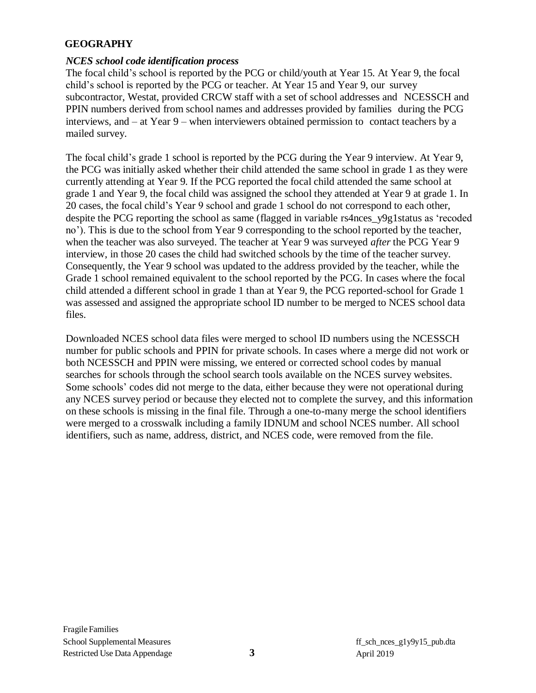#### **GEOGRAPHY**

#### *NCES school code identification process*

The focal child's school is reported by the PCG or child/youth at Year 15. At Year 9, the focal child's school is reported by the PCG or teacher. At Year 15 and Year 9, our survey subcontractor, Westat, provided CRCW staff with a set of school addresses and NCESSCH and PPIN numbers derived from school names and addresses provided by families during the PCG interviews, and – at Year 9 – when interviewers obtained permission to contact teachers by a mailed survey.

The focal child's grade 1 school is reported by the PCG during the Year 9 interview. At Year 9, the PCG was initially asked whether their child attended the same school in grade 1 as they were currently attending at Year 9. If the PCG reported the focal child attended the same school at grade 1 and Year 9, the focal child was assigned the school they attended at Year 9 at grade 1. In 20 cases, the focal child's Year 9 school and grade 1 school do not correspond to each other, despite the PCG reporting the school as same (flagged in variable rs4nces\_y9g1status as 'recoded no'). This is due to the school from Year 9 corresponding to the school reported by the teacher, when the teacher was also surveyed. The teacher at Year 9 was surveyed *after* the PCG Year 9 interview, in those 20 cases the child had switched schools by the time of the teacher survey. Consequently, the Year 9 school was updated to the address provided by the teacher, while the Grade 1 school remained equivalent to the school reported by the PCG. In cases where the focal child attended a different school in grade 1 than at Year 9, the PCG reported-school for Grade 1 was assessed and assigned the appropriate school ID number to be merged to NCES school data files.

Downloaded NCES school data files were merged to school ID numbers using the NCESSCH number for public schools and PPIN for private schools. In cases where a merge did not work or both NCESSCH and PPIN were missing, we entered or corrected school codes by manual searches for schools through the school search tools available on the NCES survey websites. Some schools' codes did not merge to the data, either because they were not operational during any NCES survey period or because they elected not to complete the survey, and this information on these schools is missing in the final file. Through a one-to-many merge the school identifiers were merged to a crosswalk including a family IDNUM and school NCES number. All school identifiers, such as name, address, district, and NCES code, were removed from the file.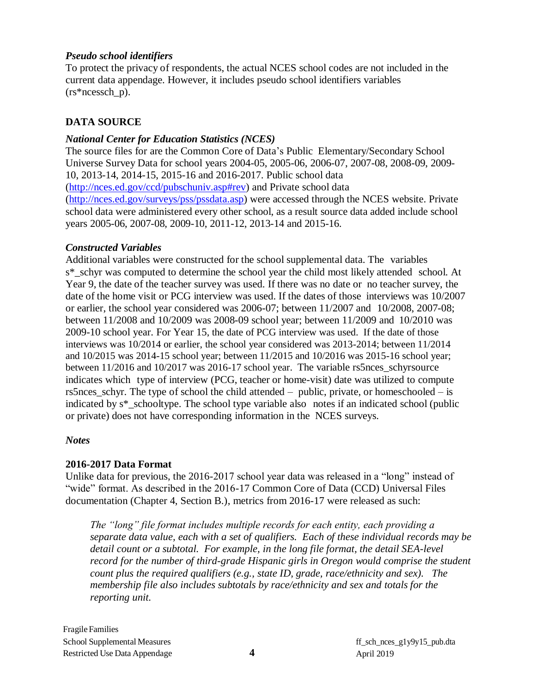#### *Pseudo school identifiers*

To protect the privacy of respondents, the actual NCES school codes are not included in the current data appendage. However, it includes pseudo school identifiers variables  $(rs*ncessch p)$ .

# **DATA SOURCE**

#### *National Center for Education Statistics (NCES)*

The source files for are the Common Core of Data's Public Elementary/Secondary School Universe Survey Data for school years 2004-05, 2005-06, 2006-07, 2007-08, 2008-09, 2009- 10, 2013-14, 2014-15, 2015-16 and 2016-2017. Public school data [\(http://nces.ed.gov/ccd/pubschuniv.asp#rev\)](http://nces.ed.gov/ccd/pubschuniv.asp#rev) and Private school data [\(http://nces.ed.gov/surveys/pss/pssdata.asp\)](http://nces.ed.gov/surveys/pss/pssdata.asp) were accessed through the NCES website. Private school data were administered every other school, as a result source data added include school years 2005-06, 2007-08, 2009-10, 2011-12, 2013-14 and 2015-16.

## *Constructed Variables*

Additional variables were constructed for the school supplemental data. The variables s\*\_schyr was computed to determine the school year the child most likely attended school. At Year 9, the date of the teacher survey was used. If there was no date or no teacher survey, the date of the home visit or PCG interview was used. If the dates of those interviews was 10/2007 or earlier, the school year considered was 2006-07; between 11/2007 and 10/2008, 2007-08; between 11/2008 and 10/2009 was 2008-09 school year; between 11/2009 and 10/2010 was 2009-10 school year. For Year 15, the date of PCG interview was used. If the date of those interviews was 10/2014 or earlier, the school year considered was 2013-2014; between 11/2014 and 10/2015 was 2014-15 school year; between 11/2015 and 10/2016 was 2015-16 school year; between 11/2016 and 10/2017 was 2016-17 school year. The variable rs5nces\_schyrsource indicates which type of interview (PCG, teacher or home-visit) date was utilized to compute rs5nces\_schyr. The type of school the child attended – public, private, or homeschooled – is indicated by s\*\_schooltype. The school type variable also notes if an indicated school (public or private) does not have corresponding information in the NCES surveys.

#### *Notes*

# **2016-2017 Data Format**

Unlike data for previous, the 2016-2017 school year data was released in a "long" instead of "wide" format. As described in the 2016-17 Common Core of Data (CCD) Universal Files documentation (Chapter 4, Section B.), metrics from 2016-17 were released as such:

*The "long" file format includes multiple records for each entity, each providing a separate data value, each with a set of qualifiers. Each of these individual records may be detail count or a subtotal. For example, in the long file format, the detail SEA-level record for the number of third-grade Hispanic girls in Oregon would comprise the student count plus the required qualifiers (e.g., state ID, grade, race/ethnicity and sex). The membership file also includes subtotals by race/ethnicity and sex and totals for the reporting unit.*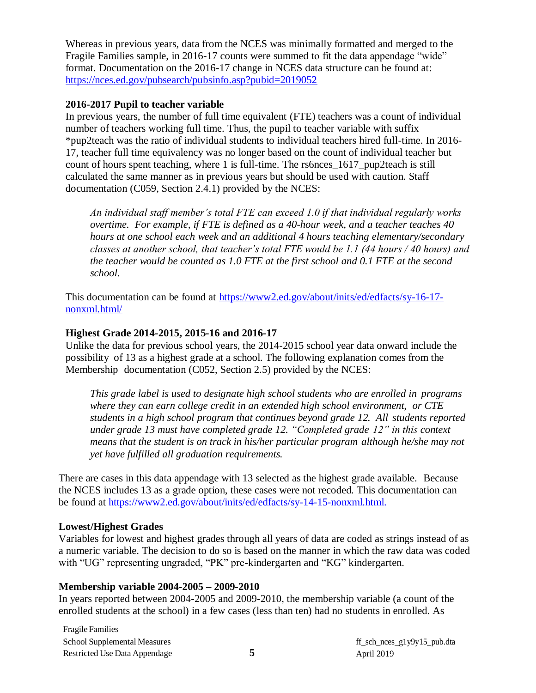Whereas in previous years, data from the NCES was minimally formatted and merged to the Fragile Families sample, in 2016-17 counts were summed to fit the data appendage "wide" format. Documentation on the 2016-17 change in NCES data structure can be found at: <https://nces.ed.gov/pubsearch/pubsinfo.asp?pubid=2019052>

#### **2016-2017 Pupil to teacher variable**

In previous years, the number of full time equivalent (FTE) teachers was a count of individual number of teachers working full time. Thus, the pupil to teacher variable with suffix \*pup2teach was the ratio of individual students to individual teachers hired full-time. In 2016- 17, teacher full time equivalency was no longer based on the count of individual teacher but count of hours spent teaching, where 1 is full-time. The rs6nces\_1617\_pup2teach is still calculated the same manner as in previous years but should be used with caution. Staff documentation (C059, Section 2.4.1) provided by the NCES:

*An individual staff member's total FTE can exceed 1.0 if that individual regularly works overtime. For example, if FTE is defined as a 40-hour week, and a teacher teaches 40 hours at one school each week and an additional 4 hours teaching elementary/secondary classes at another school, that teacher's total FTE would be 1.1 (44 hours / 40 hours) and the teacher would be counted as 1.0 FTE at the first school and 0.1 FTE at the second school.*

This documentation can be found at [https://www2.ed.gov/about/inits/ed/edfacts/sy-16-17](https://www2.ed.gov/about/inits/ed/edfacts/sy-16-17-nonxml.html/) [nonxml.html/](https://www2.ed.gov/about/inits/ed/edfacts/sy-16-17-nonxml.html/)

#### **Highest Grade 2014-2015, 2015-16 and 2016-17**

Unlike the data for previous school years, the 2014-2015 school year data onward include the possibility of 13 as a highest grade at a school. The following explanation comes from the Membership documentation (C052, Section 2.5) provided by the NCES:

*This grade label is used to designate high school students who are enrolled in programs where they can earn college credit in an extended high school environment, or CTE students in a high school program that continues beyond grade 12. All students reported under grade 13 must have completed grade 12. "Completed grade 12" in this context means that the student is on track in his/her particular program although he/she may not yet have fulfilled all graduation requirements.*

There are cases in this data appendage with 13 selected as the highest grade available. Because the NCES includes 13 as a grade option, these cases were not recoded. This documentation can be found at https://www2.ed.gov/about/inits/ed/edfacts/sy-14-15[-nonxml.html.](https://www2.ed.gov/about/inits/ed/edfacts/sy-14-15-nonxml.html)

#### **Lowest/Highest Grades**

Variables for lowest and highest grades through all years of data are coded as strings instead of as a numeric variable. The decision to do so is based on the manner in which the raw data was coded with "UG" representing ungraded, "PK" pre-kindergarten and "KG" kindergarten.

#### **Membership variable 2004-2005 – 2009-2010**

In years reported between 2004-2005 and 2009-2010, the membership variable (a count of the enrolled students at the school) in a few cases (less than ten) had no students in enrolled. As

FragileFamilies School Supplemental Measures Restricted Use Data Appendage

ff\_sch\_nces\_g1y9y15\_pub.dta **5** April 2019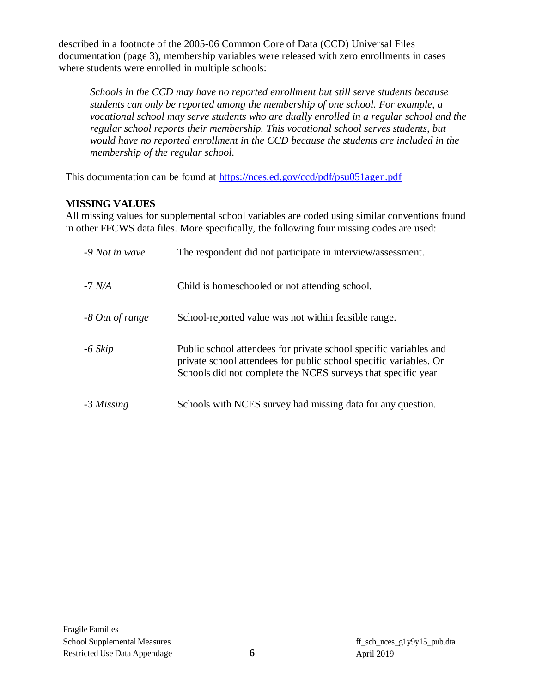described in a footnote of the 2005-06 Common Core of Data (CCD) Universal Files documentation (page 3), membership variables were released with zero enrollments in cases where students were enrolled in multiple schools:

*Schools in the CCD may have no reported enrollment but still serve students because students can only be reported among the membership of one school. For example, a vocational school may serve students who are dually enrolled in a regular school and the regular school reports their membership. This vocational school serves students, but would have no reported enrollment in the CCD because the students are included in the membership of the regular school.*

This documentation can be found at<https://nces.ed.gov/ccd/pdf/psu051agen.pdf>

# **MISSING VALUES**

All missing values for supplemental school variables are coded using similar conventions found in other FFCWS data files. More specifically, the following four missing codes are used:

| -9 Not in wave  | The respondent did not participate in interview/assessment.                                                                                                                                            |
|-----------------|--------------------------------------------------------------------------------------------------------------------------------------------------------------------------------------------------------|
| $-7$ N/A        | Child is homes chooled or not attending school.                                                                                                                                                        |
| -8 Out of range | School-reported value was not within feasible range.                                                                                                                                                   |
| $-6$ Skip       | Public school attendees for private school specific variables and<br>private school attendees for public school specific variables. Or<br>Schools did not complete the NCES surveys that specific year |
| -3 Missing      | Schools with NCES survey had missing data for any question.                                                                                                                                            |